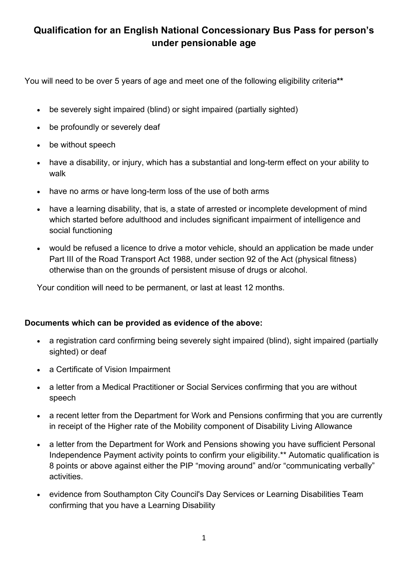## **Qualification for an English National Concessionary Bus Pass for person's under pensionable age**

You will need to be over 5 years of age and meet one of the following eligibility criteria**\*\***

- be severely sight impaired (blind) or sight impaired (partially sighted)
- be profoundly or severely deaf
- be without speech
- have a disability, or injury, which has a substantial and long-term effect on your ability to walk
- have no arms or have long-term loss of the use of both arms
- have a learning disability, that is, a state of arrested or incomplete development of mind which started before adulthood and includes significant impairment of intelligence and social functioning
- would be refused a licence to drive a motor vehicle, should an application be made under Part III of the Road Transport Act 1988, under section 92 of the Act (physical fitness) otherwise than on the grounds of persistent misuse of drugs or alcohol.

Your condition will need to be permanent, or last at least 12 months.

## **Documents which can be provided as evidence of the above:**

- a registration card confirming being severely sight impaired (blind), sight impaired (partially sighted) or deaf
- a Certificate of Vision Impairment
- a letter from a Medical Practitioner or Social Services confirming that you are without speech
- a recent letter from the Department for Work and Pensions confirming that you are currently in receipt of the Higher rate of the Mobility component of Disability Living Allowance
- a letter from the Department for Work and Pensions showing you have sufficient Personal Independence Payment activity points to confirm your eligibility.\*\* Automatic qualification is 8 points or above against either the PIP "moving around" and/or "communicating verbally" activities.
- evidence from Southampton City Council's Day Services or Learning Disabilities Team confirming that you have a Learning Disability